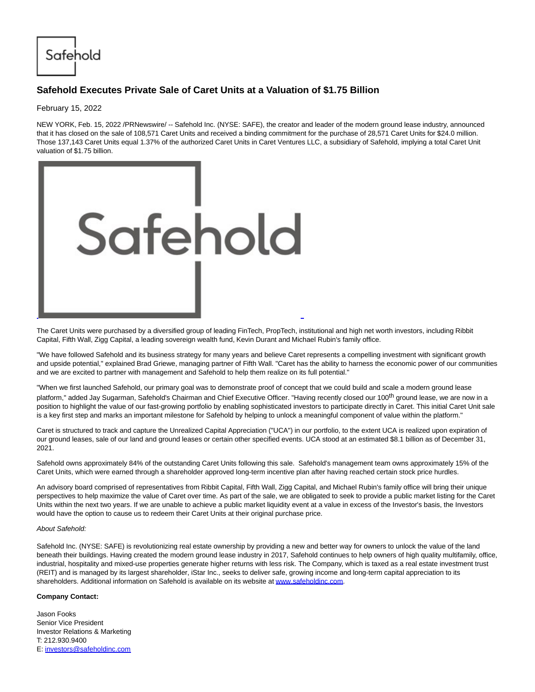Safehold

## **Safehold Executes Private Sale of Caret Units at a Valuation of \$1.75 Billion**

February 15, 2022

NEW YORK, Feb. 15, 2022 /PRNewswire/ -- Safehold Inc. (NYSE: SAFE), the creator and leader of the modern ground lease industry, announced that it has closed on the sale of 108,571 Caret Units and received a binding commitment for the purchase of 28,571 Caret Units for \$24.0 million. Those 137,143 Caret Units equal 1.37% of the authorized Caret Units in Caret Ventures LLC, a subsidiary of Safehold, implying a total Caret Unit valuation of \$1.75 billion.



The Caret Units were purchased by a diversified group of leading FinTech, PropTech, institutional and high net worth investors, including Ribbit Capital, Fifth Wall, Zigg Capital, a leading sovereign wealth fund, Kevin Durant and Michael Rubin's family office.

"We have followed Safehold and its business strategy for many years and believe Caret represents a compelling investment with significant growth and upside potential," explained Brad Griewe, managing partner of Fifth Wall. "Caret has the ability to harness the economic power of our communities and we are excited to partner with management and Safehold to help them realize on its full potential."

"When we first launched Safehold, our primary goal was to demonstrate proof of concept that we could build and scale a modern ground lease platform," added Jay Sugarman, Safehold's Chairman and Chief Executive Officer. "Having recently closed our 100<sup>th</sup> ground lease, we are now in a position to highlight the value of our fast-growing portfolio by enabling sophisticated investors to participate directly in Caret. This initial Caret Unit sale is a key first step and marks an important milestone for Safehold by helping to unlock a meaningful component of value within the platform."

Caret is structured to track and capture the Unrealized Capital Appreciation ("UCA") in our portfolio, to the extent UCA is realized upon expiration of our ground leases, sale of our land and ground leases or certain other specified events. UCA stood at an estimated \$8.1 billion as of December 31, 2021.

Safehold owns approximately 84% of the outstanding Caret Units following this sale. Safehold's management team owns approximately 15% of the Caret Units, which were earned through a shareholder approved long-term incentive plan after having reached certain stock price hurdles.

An advisory board comprised of representatives from Ribbit Capital, Fifth Wall, Zigg Capital, and Michael Rubin's family office will bring their unique perspectives to help maximize the value of Caret over time. As part of the sale, we are obligated to seek to provide a public market listing for the Caret Units within the next two years. If we are unable to achieve a public market liquidity event at a value in excess of the Investor's basis, the Investors would have the option to cause us to redeem their Caret Units at their original purchase price.

## About Safehold:

Safehold Inc. (NYSE: SAFE) is revolutionizing real estate ownership by providing a new and better way for owners to unlock the value of the land beneath their buildings. Having created the modern ground lease industry in 2017, Safehold continues to help owners of high quality multifamily, office, industrial, hospitality and mixed-use properties generate higher returns with less risk. The Company, which is taxed as a real estate investment trust (REIT) and is managed by its largest shareholder, iStar Inc., seeks to deliver safe, growing income and long-term capital appreciation to its shareholders. Additional information on Safehold is available on its website at [www.safeholdinc.com.](https://c212.net/c/link/?t=0&l=en&o=3443763-1&h=462269374&u=http%3A%2F%2Fwww.safeholdinc.com%2F&a=www.safeholdinc.com)

## **Company Contact:**

Jason Fooks Senior Vice President Investor Relations & Marketing T: 212.930.9400 E: [investors@safeholdinc.com](mailto:investors@safeholdinc.com)